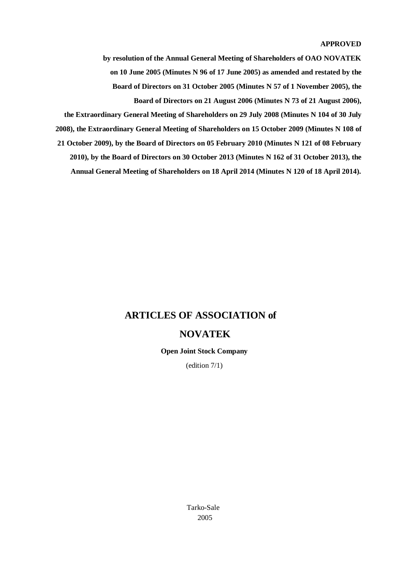#### **APPROVED**

**by resolution of the Annual General Meeting of Shareholders of OAO NOVATEK on 10 June 2005 (Minutes N 96 of 17 June 2005) as amended and restated by the Board of Directors on 31 October 2005 (Minutes N 57 of 1 November 2005), the Board of Directors on 21 August 2006 (Minutes N 73 of 21 August 2006),**

**the Extraordinary General Meeting of Shareholders on 29 July 2008 (Minutes N 104 of 30 July 2008), the Extraordinary General Meeting of Shareholders on 15 October 2009 (Minutes N 108 of 21 October 2009), by the Board of Directors on 05 February 2010 (Minutes N 121 of 08 February 2010), by the Board of Directors on 30 October 2013 (Minutes N 162 of 31 October 2013), the Annual General Meeting of Shareholders on 18 April 2014 (Minutes N 120 of 18 April 2014).**

## **ARTICLES OF ASSOCIATION of**

### **NOVATEK**

**Open Joint Stock Company** 

(edition 7/1)

Tarko-Sale 2005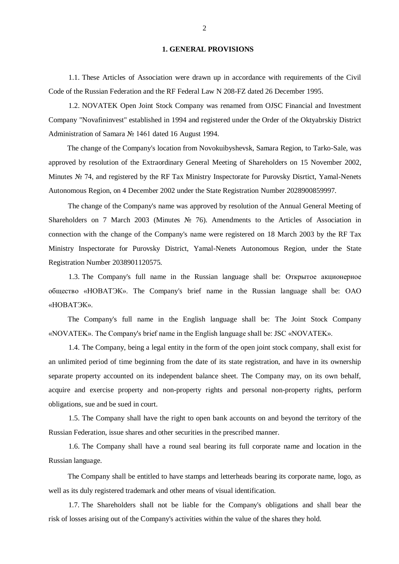#### **1. GENERAL PROVISIONS**

1.1. These Articles of Association were drawn up in accordance with requirements of the Civil Code of the Russian Federation and the RF Federal Law N 208-FZ dated 26 December 1995.

1.2. NOVATEK Open Joint Stock Company was renamed from OJSC Financial and Investment Company "Novafininvest" established in 1994 and registered under the Order of the Oktyabrskiy District Administration of Samara № 1461 dated 16 August 1994.

The change of the Company's location from Novokuibyshevsk, Samara Region, to Tarko-Sale, was approved by resolution of the Extraordinary General Meeting of Shareholders on 15 November 2002, Minutes № 74, and registered by the RF Tax Ministry Inspectorate for Purovsky Disrtict, Yamal-Nenets Autonomous Region, on 4 December 2002 under the State Registration Number 2028900859997.

The change of the Company's name was approved by resolution of the Annual General Meeting of Shareholders on 7 March 2003 (Minutes № 76). Amendments to the Articles of Association in connection with the change of the Company's name were registered on 18 March 2003 by the RF Tax Ministry Inspectorate for Purovsky District, Yamal-Nenets Autonomous Region, under the State Registration Number 2038901120575.

1.3. The Company's full name in the Russian language shall be: Открытое акционерное общество «НОВАТЭК». The Company's brief name in the Russian language shall be: ОАО «НОВАТЭК».

The Company's full name in the English language shall be: The Joint Stock Company «NOVATEK». The Company's brief name in the English language shall be: JSC «NOVATEK».

1.4. The Company, being a legal entity in the form of the open joint stock company, shall exist for an unlimited period of time beginning from the date of its state registration, and have in its ownership separate property accounted on its independent balance sheet. The Company may, on its own behalf, acquire and exercise property and non-property rights and personal non-property rights, perform obligations, sue and be sued in court.

1.5. The Company shall have the right to open bank accounts on and beyond the territory of the Russian Federation, issue shares and other securities in the prescribed manner.

1.6. The Company shall have a round seal bearing its full corporate name and location in the Russian language.

The Company shall be entitled to have stamps and letterheads bearing its corporate name, logo, as well as its duly registered trademark and other means of visual identification.

1.7. The Shareholders shall not be liable for the Company's obligations and shall bear the risk of losses arising out of the Company's activities within the value of the shares they hold.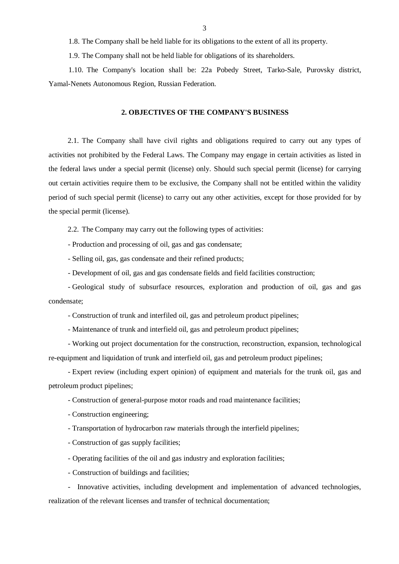1.8. The Company shall be held liable for its obligations to the extent of all its property.

1.9. The Company shall not be held liable for obligations of its shareholders.

1.10. The Company's location shall be: 22а Pobedy Street, Tarko-Sale, Purovsky district, Yamal-Nenets Autonomous Region, Russian Federation.

#### **2. OBJECTIVES OF THE COMPANY'S BUSINESS**

2.1. The Company shall have civil rights and obligations required to carry out any types of activities not prohibited by the Federal Laws. The Company may engage in certain activities as listed in the federal laws under a special permit (license) only. Should such special permit (license) for carrying out certain activities require them to be exclusive, the Company shall not be entitled within the validity period of such special permit (license) to carry out any other activities, except for those provided for by the special permit (license).

2.2. The Company may carry out the following types of activities:

- Production and processing of oil, gas and gas condensate;

- Selling oil, gas, gas condensate and their refined products;

- Development of oil, gas and gas condensate fields and field facilities construction;

- Geological study of subsurface resources, exploration and production of oil, gas and gas condensate;

- Construction of trunk and interfiled oil, gas and petroleum product pipelines;

- Maintenance of trunk and interfield oil, gas and petroleum product pipelines;

- Working out project documentation for the construction, reconstruction, expansion, technological re-equipment and liquidation of trunk and interfield oil, gas and petroleum product pipelines;

- Expert review (including expert opinion) of equipment and materials for the trunk oil, gas and petroleum product pipelines;

- Construction of general-purpose motor roads and road maintenance facilities;

- Construction engineering;

- Transportation of hydrocarbon raw materials through the interfield pipelines;

- Construction of gas supply facilities;

- Operating facilities of the oil and gas industry and exploration facilities;

- Construction of buildings and facilities;

- Innovative activities, including development and implementation of advanced technologies, realization of the relevant licenses and transfer of technical documentation;

3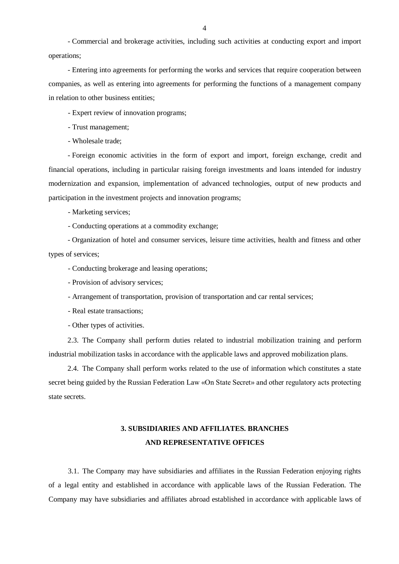- Commercial and brokerage activities, including such activities at conducting export and import operations;

- Entering into agreements for performing the works and services that require cooperation between companies, as well as entering into agreements for performing the functions of a management company in relation to other business entities;

- Expert review of innovation programs;

- Trust management;

- Wholesale trade;

- Foreign economic activities in the form of export and import, foreign exchange, credit and financial operations, including in particular raising foreign investments and loans intended for industry modernization and expansion, implementation of advanced technologies, output of new products and participation in the investment projects and innovation programs;

- Marketing services;

- Conducting operations at a commodity exchange;

- Organization of hotel and consumer services, leisure time activities, health and fitness and other types of services;

- Conducting brokerage and leasing operations;

- Provision of advisory services;

- Arrangement of transportation, provision of transportation and car rental services;

- Real estate transactions;

- Other types of activities.

2.3. The Company shall perform duties related to industrial mobilization training and perform industrial mobilization tasks in accordance with the applicable laws and approved mobilization plans.

2.4. The Company shall perform works related to the use of information which constitutes a state secret being guided by the Russian Federation Law «On State Secret» and other regulatory acts protecting state secrets.

# **3. SUBSIDIARIES AND AFFILIATES. BRANCHES AND REPRESENTATIVE OFFICES**

3.1. The Company may have subsidiaries and affiliates in the Russian Federation enjoying rights of a legal entity and established in accordance with applicable laws of the Russian Federation. The Company may have subsidiaries and affiliates abroad established in accordance with applicable laws of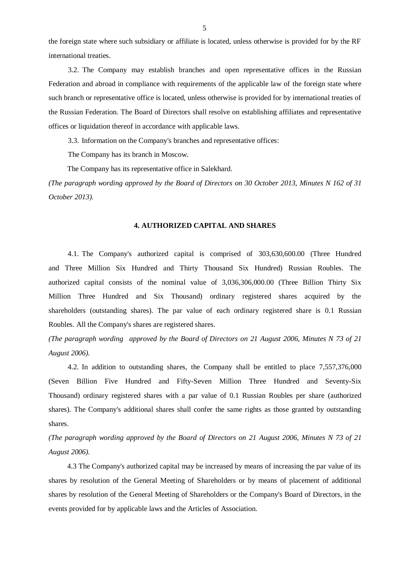the foreign state where such subsidiary or affiliate is located, unless otherwise is provided for by the RF international treaties.

3.2. The Company may establish branches and open representative offices in the Russian Federation and abroad in compliance with requirements of the applicable law of the foreign state where such branch or representative office is located, unless otherwise is provided for by international treaties of the Russian Federation. The Board of Directors shall resolve on establishing affiliates and representative offices or liquidation thereof in accordance with applicable laws.

3.3. Information on the Company's branches and representative offices:

The Company has its branch in Moscow.

The Company has its representative office in Salekhard.

*(The paragraph wording approved by the Board of Directors on 30 October 2013, Minutes N 162 of 31 October 2013).*

#### **4. AUTHORIZED CAPITAL AND SHARES**

4.1. The Company's authorized capital is comprised of 303,630,600.00 (Three Hundred and Three Million Six Hundred and Thirty Thousand Six Hundred) Russian Roubles. The authorized capital consists of the nominal value of 3,036,306,000.00 (Three Billion Thirty Six Million Three Hundred and Six Thousand) ordinary registered shares acquired by the shareholders (outstanding shares). The par value of each ordinary registered share is 0.1 Russian Roubles. All the Company's shares are registered shares.

*(The paragraph wording approved by the Board of Directors on 21 August 2006, Minutes N 73 of 21 August 2006).*

4.2. In addition to outstanding shares, the Company shall be entitled to place 7,557,376,000 (Seven Billion Five Hundred and Fifty-Seven Million Three Hundred and Seventy-Six Thousand) ordinary registered shares with a par value of 0.1 Russian Roubles per share (authorized shares). The Company's additional shares shall confer the same rights as those granted by outstanding shares.

*(The paragraph wording approved by the Board of Directors on 21 August 2006, Minutes N 73 of 21 August 2006).*

4.3 The Company's authorized capital may be increased by means of increasing the par value of its shares by resolution of the General Meeting of Shareholders or by means of placement of additional shares by resolution of the General Meeting of Shareholders or the Company's Board of Directors, in the events provided for by applicable laws and the Articles of Association.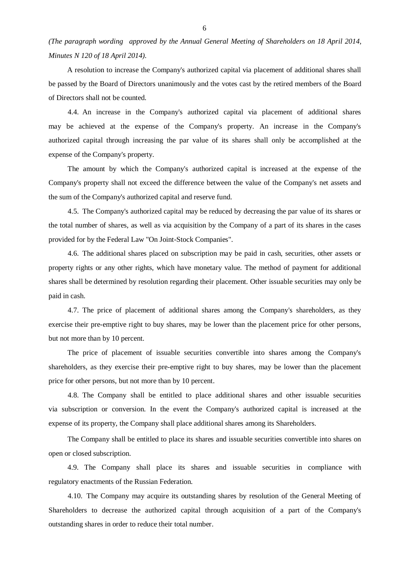*(The paragraph wording approved by the Annual General Meeting of Shareholders on 18 April 2014, Minutes N 120 of 18 April 2014).*

A resolution to increase the Company's authorized capital via placement of additional shares shall be passed by the Board of Directors unanimously and the votes cast by the retired members of the Board of Directors shall not be counted.

4.4. An increase in the Company's authorized capital via placement of additional shares may be achieved at the expense of the Company's property. An increase in the Company's authorized capital through increasing the par value of its shares shall only be accomplished at the expense of the Company's property.

The amount by which the Company's authorized capital is increased at the expense of the Company's property shall not exceed the difference between the value of the Company's net assets and the sum of the Company's authorized capital and reserve fund.

4.5. The Company's authorized capital may be reduced by decreasing the par value of its shares or the total number of shares, as well as via acquisition by the Company of a part of its shares in the cases provided for by the Federal Law "On Joint-Stock Companies".

4.6. The additional shares placed on subscription may be paid in cash, securities, other assets or property rights or any other rights, which have monetary value. The method of payment for additional shares shall be determined by resolution regarding their placement. Other issuable securities may only be paid in cash.

4.7. The price of placement of additional shares among the Company's shareholders, as they exercise their pre-emptive right to buy shares, may be lower than the placement price for other persons, but not more than by 10 percent.

The price of placement of issuable securities convertible into shares among the Company's shareholders, as they exercise their pre-emptive right to buy shares, may be lower than the placement price for other persons, but not more than by 10 percent.

4.8. The Company shall be entitled to place additional shares and other issuable securities via subscription or conversion. In the event the Company's authorized capital is increased at the expense of its property, the Company shall place additional shares among its Shareholders.

The Company shall be entitled to place its shares and issuable securities convertible into shares on open or closed subscription.

4.9. The Company shall place its shares and issuable securities in compliance with regulatory enactments of the Russian Federation.

4.10. The Company may acquire its outstanding shares by resolution of the General Meeting of Shareholders to decrease the authorized capital through acquisition of a part of the Company's outstanding shares in order to reduce their total number.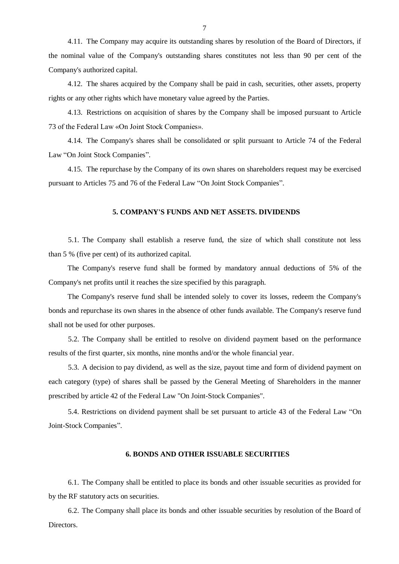4.11. The Company may acquire its outstanding shares by resolution of the Board of Directors, if the nominal value of the Company's outstanding shares constitutes not less than 90 per cent of the Company's authorized capital.

4.12. The shares acquired by the Company shall be paid in cash, securities, other assets, property rights or any other rights which have monetary value agreed by the Parties.

4.13. Restrictions on acquisition of shares by the Company shall be imposed pursuant to Article 73 of the Federal Law «On Joint Stock Companies».

4.14. The Company's shares shall be consolidated or split pursuant to Article 74 of the Federal Law "On Joint Stock Companies".

4.15. The repurchase by the Company of its own shares on shareholders request may be exercised pursuant to Articles 75 and 76 of the Federal Law "On Joint Stock Companies".

### **5. COMPANY'S FUNDS AND NET ASSETS. DIVIDENDS**

5.1. The Company shall establish a reserve fund, the size of which shall constitute not less than 5 % (five per cent) of its authorized capital.

The Company's reserve fund shall be formed by mandatory annual deductions of 5% of the Company's net profits until it reaches the size specified by this paragraph.

The Company's reserve fund shall be intended solely to cover its losses, redeem the Company's bonds and repurchase its own shares in the absence of other funds available. The Company's reserve fund shall not be used for other purposes.

5.2. The Company shall be entitled to resolve on dividend payment based on the performance results of the first quarter, six months, nine months and/or the whole financial year.

5.3. A decision to pay dividend, as well as the size, payout time and form of dividend payment on each category (type) of shares shall be passed by the General Meeting of Shareholders in the manner prescribed by article 42 of the Federal Law "On Joint-Stock Companies".

5.4. Restrictions on dividend payment shall be set pursuant to article 43 of the Federal Law "On Joint-Stock Companies".

### **6. BONDS AND OTHER ISSUABLE SECURITIES**

6.1. The Company shall be entitled to place its bonds and other issuable securities as provided for by the RF statutory acts on securities.

6.2. The Company shall place its bonds and other issuable securities by resolution of the Board of Directors.

7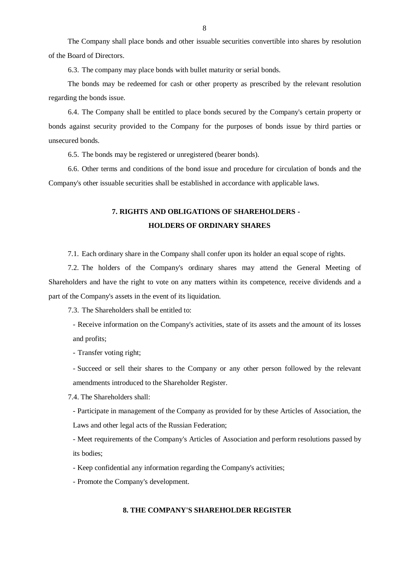The Company shall place bonds and other issuable securities convertible into shares by resolution of the Board of Directors.

6.3. The company may place bonds with bullet maturity or serial bonds.

The bonds may be redeemed for cash or other property as prescribed by the relevant resolution regarding the bonds issue.

6.4. The Company shall be entitled to place bonds secured by the Company's certain property or bonds against security provided to the Company for the purposes of bonds issue by third parties or unsecured bonds.

6.5. The bonds may be registered or unregistered (bearer bonds).

6.6. Other terms and conditions of the bond issue and procedure for circulation of bonds and the Company's other issuable securities shall be established in accordance with applicable laws.

## **7. RIGHTS AND OBLIGATIONS OF SHAREHOLDERS - HOLDERS OF ORDINARY SHARES**

7.1. Each ordinary share in the Company shall confer upon its holder an equal scope of rights.

7.2. The holders of the Company's ordinary shares may attend the General Meeting of Shareholders and have the right to vote on any matters within its competence, receive dividends and a part of the Company's assets in the event of its liquidation.

7.3. The Shareholders shall be entitled to:

- Receive information on the Company's activities, state of its assets and the amount of its losses and profits;

- Transfer voting right;

- Succeed or sell their shares to the Company or any other person followed by the relevant amendments introduced to the Shareholder Register.

7.4. The Shareholders shall:

- Participate in management of the Company as provided for by these Articles of Association, the Laws and other legal acts of the Russian Federation;

- Meet requirements of the Company's Articles of Association and perform resolutions passed by its bodies;

- Keep confidential any information regarding the Company's activities;

- Promote the Company's development.

### **8. THE COMPANY'S SHAREHOLDER REGISTER**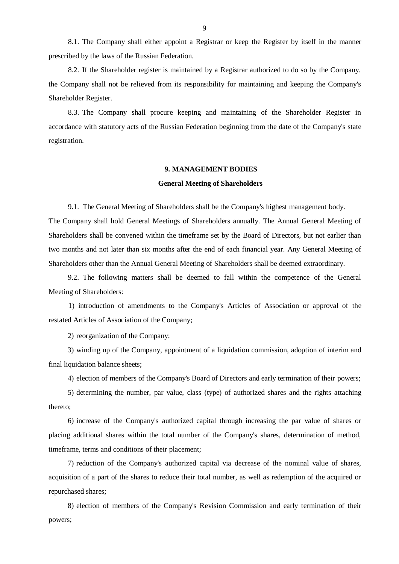8.1. The Company shall either appoint a Registrar or keep the Register by itself in the manner prescribed by the laws of the Russian Federation.

8.2. If the Shareholder register is maintained by a Registrar authorized to do so by the Company, the Company shall not be relieved from its responsibility for maintaining and keeping the Company's Shareholder Register.

8.3. The Company shall procure keeping and maintaining of the Shareholder Register in accordance with statutory acts of the Russian Federation beginning from the date of the Company's state registration.

#### **9. MANAGEMENT BODIES**

### **General Meeting of Shareholders**

9.1. The General Meeting of Shareholders shall be the Company's highest management body.

The Company shall hold General Meetings of Shareholders annually. The Annual General Meeting of Shareholders shall be convened within the timeframe set by the Board of Directors, but not earlier than two months and not later than six months after the end of each financial year. Any General Meeting of Shareholders other than the Annual General Meeting of Shareholders shall be deemed extraordinary.

9.2. The following matters shall be deemed to fall within the competence of the General Meeting of Shareholders:

1) introduction of amendments to the Company's Articles of Association or approval of the restated Articles of Association of the Company;

2) reorganization of the Company;

3) winding up of the Company, appointment of a liquidation commission, adoption of interim and final liquidation balance sheets;

4) election of members of the Company's Board of Directors and early termination of their powers;

5) determining the number, par value, class (type) of authorized shares and the rights attaching thereto;

6) increase of the Company's authorized capital through increasing the par value of shares or placing additional shares within the total number of the Company's shares, determination of method, timeframe, terms and conditions of their placement;

7) reduction of the Company's authorized capital via decrease of the nominal value of shares, acquisition of a part of the shares to reduce their total number, as well as redemption of the acquired or repurchased shares;

8) election of members of the Company's Revision Commission and early termination of their powers;

9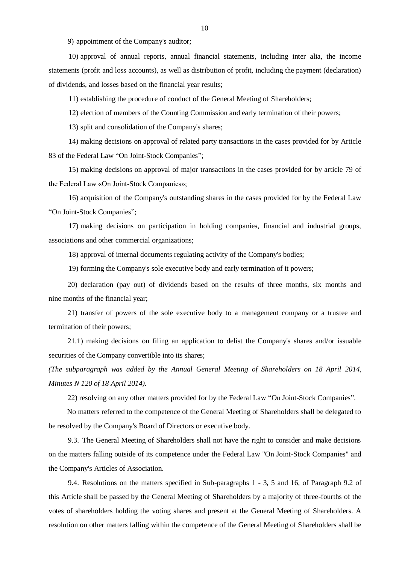9) appointment of the Company's auditor;

10) approval of annual reports, annual financial statements, including inter alia, the income statements (profit and loss accounts), as well as distribution of profit, including the payment (declaration) of dividends, and losses based on the financial year results;

11) establishing the procedure of conduct of the General Meeting of Shareholders;

12) election of members of the Counting Commission and early termination of their powers;

13) split and consolidation of the Company's shares;

14) making decisions on approval of related party transactions in the cases provided for by Article 83 of the Federal Law "On Joint-Stock Companies";

15) making decisions on approval of major transactions in the cases provided for by article 79 of the Federal Law «On Joint-Stock Companies»;

16) acquisition of the Company's outstanding shares in the cases provided for by the Federal Law "On Joint-Stock Companies";

17) making decisions on participation in holding companies, financial and industrial groups, associations and other commercial organizations;

18) approval of internal documents regulating activity of the Company's bodies;

19) forming the Company's sole executive body and early termination of it powers;

20) declaration (pay out) of dividends based on the results of three months, six months and nine months of the financial year;

21) transfer of powers of the sole executive body to a management company or a trustee and termination of their powers;

21.1) making decisions on filing an application to delist the Company's shares and/or issuable securities of the Company convertible into its shares;

*(The subparagraph was added by the Annual General Meeting of Shareholders on 18 April 2014, Minutes N 120 of 18 April 2014).*

22) resolving on any other matters provided for by the Federal Law "On Joint-Stock Companies".

No matters referred to the competence of the General Meeting of Shareholders shall be delegated to be resolved by the Company's Board of Directors or executive body.

9.3. The General Meeting of Shareholders shall not have the right to consider and make decisions on the matters falling outside of its competence under the Federal Law "On Joint-Stock Companies" and the Company's Articles of Association.

9.4. Resolutions on the matters specified in Sub-paragraphs 1 - 3, 5 and 16, of Paragraph 9.2 of this Article shall be passed by the General Meeting of Shareholders by a majority of three-fourths of the votes of shareholders holding the voting shares and present at the General Meeting of Shareholders. A resolution on other matters falling within the competence of the General Meeting of Shareholders shall be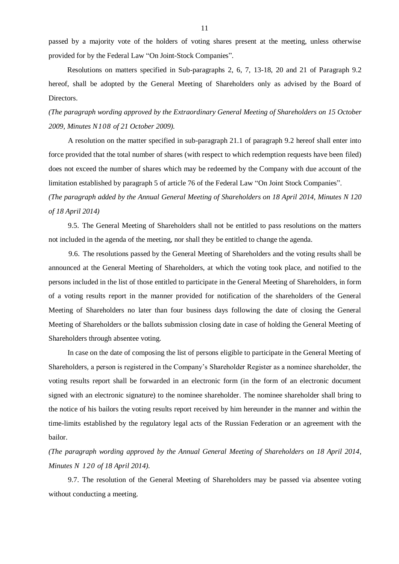passed by a majority vote of the holders of voting shares present at the meeting, unless otherwise provided for by the Federal Law "On Joint-Stock Companies".

Resolutions on matters specified in Sub-paragraphs 2, 6, 7, 13-18, 20 and 21 of Paragraph 9.2 hereof, shall be adopted by the General Meeting of Shareholders only as advised by the Board of Directors.

*(The paragraph wording approved by the Extraordinary General Meeting of Shareholders on 15 October 2009, Minutes N108 of 21 October 2009).*

A resolution on the matter specified in sub-paragraph 21.1 of paragraph 9.2 hereof shall enter into force provided that the total number of shares (with respect to which redemption requests have been filed) does not exceed the number of shares which may be redeemed by the Company with due account of the limitation established by paragraph 5 of article 76 of the Federal Law "On Joint Stock Companies".

*(The paragraph added by the Annual General Meeting of Shareholders on 18 April 2014, Minutes N 120 of 18 April 2014)*

9.5. The General Meeting of Shareholders shall not be entitled to pass resolutions on the matters not included in the agenda of the meeting, nor shall they be entitled to change the agenda.

9.6. The resolutions passed by the General Meeting of Shareholders and the voting results shall be announced at the General Meeting of Shareholders, at which the voting took place, and notified to the persons included in the list of those entitled to participate in the General Meeting of Shareholders, in form of a voting results report in the manner provided for notification of the shareholders of the General Meeting of Shareholders no later than four business days following the date of closing the General Meeting of Shareholders or the ballots submission closing date in case of holding the General Meeting of Shareholders through absentee voting.

In case on the date of composing the list of persons eligible to participate in the General Meeting of Shareholders, a person is registered in the Company's Shareholder Register as a nominee shareholder, the voting results report shall be forwarded in an electronic form (in the form of an electronic document signed with an electronic signature) to the nominee shareholder. The nominee shareholder shall bring to the notice of his bailors the voting results report received by him hereunder in the manner and within the time-limits established by the regulatory legal acts of the Russian Federation or an agreement with the bailor.

*(The paragraph wording approved by the Annual General Meeting of Shareholders on 18 April 2014, Minutes N 120 of 18 April 2014).*

9.7. The resolution of the General Meeting of Shareholders may be passed via absentee voting without conducting a meeting.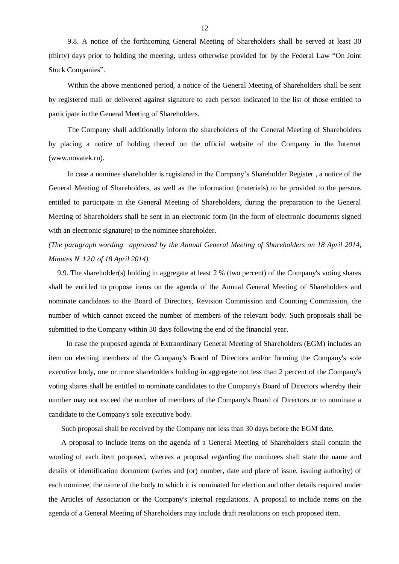9.8. A notice of the forthcoming General Meeting of Shareholders shall be served at least 30 (thirty) days prior to holding the meeting, unless otherwise provided for by the Federal Law "On Joint Stock Companies".

Within the above mentioned period, a notice of the General Meeting of Shareholders shall be sent by registered mail or delivered against signature to each person indicated in the list of those entitled to participate in the General Meeting of Shareholders.

The Company shall additionally inform the shareholders of the General Meeting of Shareholders by placing a notice of holding thereof on the official website of the Company in the Internet (www.novatek.ru).

In case a nominee shareholder is registered in the Company's Shareholder Register , a notice of the General Meeting of Shareholders, as well as the information (materials) to be provided to the persons entitled to participate in the General Meeting of Shareholders, during the preparation to the General Meeting of Shareholders shall be sent in an electronic form (in the form of electronic documents signed with an electronic signature) to the nominee shareholder.

*(The paragraph wording approved by the Annual General Meeting of Shareholders on 18 April 2014, Minutes N 120 of 18 April 2014).*

9.9. The shareholder(s) holding in aggregate at least 2 % (two percent) of the Company's voting shares shall be entitled to propose items on the agenda of the Annual General Meeting of Shareholders and nominate candidates to the Board of Directors, Revision Commission and Counting Commission, the number of which cannot exceed the number of members of the relevant body. Such proposals shall be submitted to the Company within 30 days following the end of the financial year.

In case the proposed agenda of Extraordinary General Meeting of Shareholders (EGM) includes an item on electing members of the Company's Board of Directors and/or forming the Company's sole executive body, one or more shareholders holding in aggregate not less than 2 percent of the Company's voting shares shall be entitled to nominate candidates to the Company's Board of Directors whereby their number may not exceed the number of members of the Company's Board of Directors or to nominate a candidate to the Company's sole executive body.

Such proposal shall be received by the Company not less than 30 days before the EGM date.

A proposal to include items on the agenda of a General Meeting of Shareholders shall contain the wording of each item proposed, whereas a proposal regarding the nominees shall state the name and details of identification document (series and (or) number, date and place of issue, issuing authority) of each nominee, the name of the body to which it is nominated for election and other details required under the Articles of Association or the Company's internal regulations. A proposal to include items on the agenda of a General Meeting of Shareholders may include draft resolutions on each proposed item.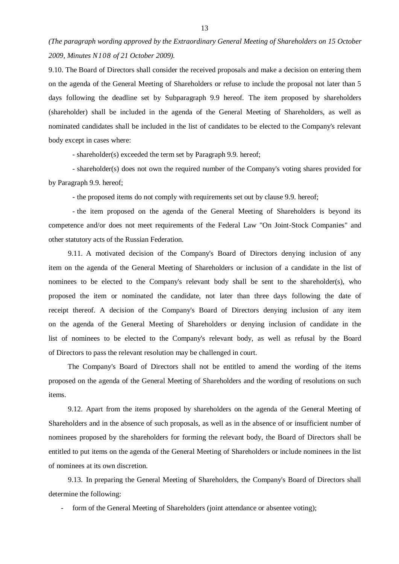*(The paragraph wording approved by the Extraordinary General Meeting of Shareholders on 15 October 2009, Minutes N108 of 21 October 2009).*

9.10. The Board of Directors shall consider the received proposals and make a decision on entering them on the agenda of the General Meeting of Shareholders or refuse to include the proposal not later than 5 days following the deadline set by Subparagraph 9.9 hereof. The item proposed by shareholders (shareholder) shall be included in the agenda of the General Meeting of Shareholders, as well as nominated candidates shall be included in the list of candidates to be elected to the Company's relevant body except in cases where:

- shareholder(s) exceeded the term set by Paragraph 9.9. hereof;

- shareholder(s) does not own the required number of the Company's voting shares provided for by Paragraph 9.9. hereof;

- the proposed items do not comply with requirements set out by clause 9.9. hereof;

- the item proposed on the agenda of the General Meeting of Shareholders is beyond its competence and/or does not meet requirements of the Federal Law "On Joint-Stock Companies" and other statutory acts of the Russian Federation.

9.11. A motivated decision of the Company's Board of Directors denying inclusion of any item on the agenda of the General Meeting of Shareholders or inclusion of a candidate in the list of nominees to be elected to the Company's relevant body shall be sent to the shareholder(s), who proposed the item or nominated the candidate, not later than three days following the date of receipt thereof. A decision of the Company's Board of Directors denying inclusion of any item on the agenda of the General Meeting of Shareholders or denying inclusion of candidate in the list of nominees to be elected to the Company's relevant body, as well as refusal by the Board of Directors to pass the relevant resolution may be challenged in court.

The Company's Board of Directors shall not be entitled to amend the wording of the items proposed on the agenda of the General Meeting of Shareholders and the wording of resolutions on such items.

9.12. Apart from the items proposed by shareholders on the agenda of the General Meeting of Shareholders and in the absence of such proposals, as well as in the absence of or insufficient number of nominees proposed by the shareholders for forming the relevant body, the Board of Directors shall be entitled to put items on the agenda of the General Meeting of Shareholders or include nominees in the list of nominees at its own discretion.

9.13. In preparing the General Meeting of Shareholders, the Company's Board of Directors shall determine the following:

form of the General Meeting of Shareholders (joint attendance or absentee voting);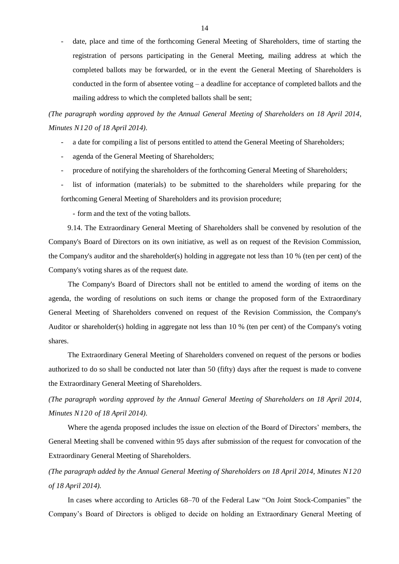- date, place and time of the forthcoming General Meeting of Shareholders, time of starting the registration of persons participating in the General Meeting, mailing address at which the completed ballots may be forwarded, or in the event the General Meeting of Shareholders is conducted in the form of absentee voting – a deadline for acceptance of completed ballots and the mailing address to which the completed ballots shall be sent;

*(The paragraph wording approved by the Annual General Meeting of Shareholders on 18 April 2014, Minutes N120 of 18 April 2014).*

- a date for compiling a list of persons entitled to attend the General Meeting of Shareholders;
- agenda of the General Meeting of Shareholders;
- procedure of notifying the shareholders of the forthcoming General Meeting of Shareholders;
- list of information (materials) to be submitted to the shareholders while preparing for the forthcoming General Meeting of Shareholders and its provision procedure;

- form and the text of the voting ballots.

9.14. The Extraordinary General Meeting of Shareholders shall be convened by resolution of the Company's Board of Directors on its own initiative, as well as on request of the Revision Commission, the Company's auditor and the shareholder(s) holding in aggregate not less than 10 % (ten per cent) of the Company's voting shares as of the request date.

The Company's Board of Directors shall not be entitled to amend the wording of items on the agenda, the wording of resolutions on such items or change the proposed form of the Extraordinary General Meeting of Shareholders convened on request of the Revision Commission, the Company's Auditor or shareholder(s) holding in aggregate not less than 10 % (ten per cent) of the Company's voting shares.

The Extraordinary General Meeting of Shareholders convened on request of the persons or bodies authorized to do so shall be conducted not later than 50 (fifty) days after the request is made to convene the Extraordinary General Meeting of Shareholders.

*(The paragraph wording approved by the Annual General Meeting of Shareholders on 18 April 2014, Minutes N120 of 18 April 2014).*

Where the agenda proposed includes the issue on election of the Board of Directors' members, the General Meeting shall be convened within 95 days after submission of the request for convocation of the Extraordinary General Meeting of Shareholders.

*(The paragraph added by the Annual General Meeting of Shareholders on 18 April 2014, Minutes N120 of 18 April 2014).*

In cases where according to Articles 68–70 of the Federal Law "On Joint Stock-Companies" the Company's Board of Directors is obliged to decide on holding an Extraordinary General Meeting of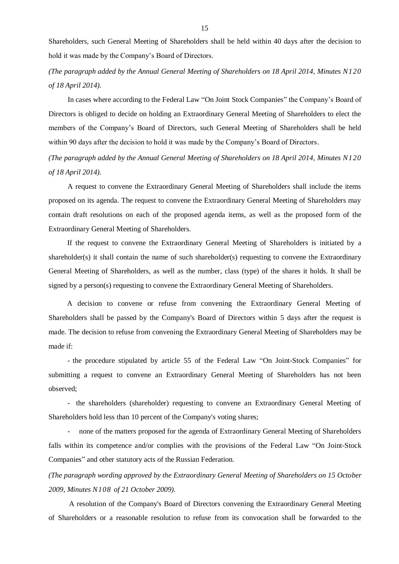Shareholders, such General Meeting of Shareholders shall be held within 40 days after the decision to hold it was made by the Company's Board of Directors.

*(The paragraph added by the Annual General Meeting of Shareholders on 18 April 2014, Minutes N120 of 18 April 2014).*

In cases where according to the Federal Law "On Joint Stock Companies" the Company's Board of Directors is obliged to decide on holding an Extraordinary General Meeting of Shareholders to elect the members of the Company's Board of Directors, such General Meeting of Shareholders shall be held within 90 days after the decision to hold it was made by the Company's Board of Directors.

*(The paragraph added by the Annual General Meeting of Shareholders on 18 April 2014, Minutes N120 of 18 April 2014).*

A request to convene the Extraordinary General Meeting of Shareholders shall include the items proposed on its agenda. The request to convene the Extraordinary General Meeting of Shareholders may contain draft resolutions on each of the proposed agenda items, as well as the proposed form of the Extraordinary General Meeting of Shareholders.

If the request to convene the Extraordinary General Meeting of Shareholders is initiated by a shareholder(s) it shall contain the name of such shareholder(s) requesting to convene the Extraordinary General Meeting of Shareholders, as well as the number, class (type) of the shares it holds. It shall be signed by a person(s) requesting to convene the Extraordinary General Meeting of Shareholders.

A decision to convene or refuse from convening the Extraordinary General Meeting of Shareholders shall be passed by the Company's Board of Directors within 5 days after the request is made. The decision to refuse from convening the Extraordinary General Meeting of Shareholders may be made if:

- the procedure stipulated by article 55 of the Federal Law "On Joint-Stock Companies" for submitting a request to convene an Extraordinary General Meeting of Shareholders has not been observed;

- the shareholders (shareholder) requesting to convene an Extraordinary General Meeting of Shareholders hold less than 10 percent of the Company's voting shares;

none of the matters proposed for the agenda of Extraordinary General Meeting of Shareholders falls within its competence and/or complies with the provisions of the Federal Law "On Joint-Stock Companies" and other statutory acts of the Russian Federation.

*(The paragraph wording approved by the Extraordinary General Meeting of Shareholders on 15 October 2009, Minutes N108 of 21 October 2009).*

A resolution of the Company's Board of Directors convening the Extraordinary General Meeting of Shareholders or a reasonable resolution to refuse from its convocation shall be forwarded to the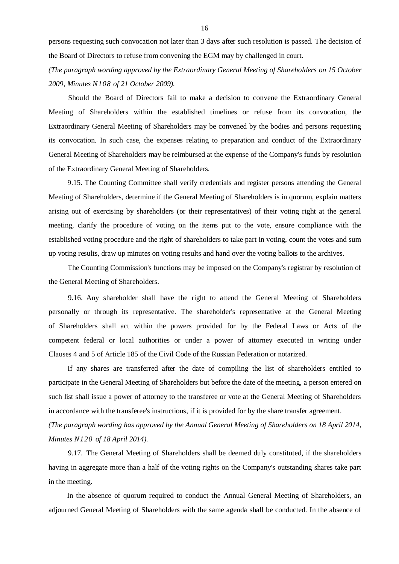persons requesting such convocation not later than 3 days after such resolution is passed. The decision of the Board of Directors to refuse from convening the EGM may by challenged in court.

*(The paragraph wording approved by the Extraordinary General Meeting of Shareholders on 15 October 2009, Minutes N108 of 21 October 2009).*

Should the Board of Directors fail to make a decision to convene the Extraordinary General Meeting of Shareholders within the established timelines or refuse from its convocation, the Extraordinary General Meeting of Shareholders may be convened by the bodies and persons requesting its convocation. In such case, the expenses relating to preparation and conduct of the Extraordinary General Meeting of Shareholders may be reimbursed at the expense of the Company's funds by resolution of the Extraordinary General Meeting of Shareholders.

9.15. The Counting Committee shall verify credentials and register persons attending the General Meeting of Shareholders, determine if the General Meeting of Shareholders is in quorum, explain matters arising out of exercising by shareholders (or their representatives) of their voting right at the general meeting, clarify the procedure of voting on the items put to the vote, ensure compliance with the established voting procedure and the right of shareholders to take part in voting, count the votes and sum up voting results, draw up minutes on voting results and hand over the voting ballots to the archives.

The Counting Commission's functions may be imposed on the Company's registrar by resolution of the General Meeting of Shareholders.

9.16. Any shareholder shall have the right to attend the General Meeting of Shareholders personally or through its representative. The shareholder's representative at the General Meeting of Shareholders shall act within the powers provided for by the Federal Laws or Acts of the competent federal or local authorities or under a power of attorney executed in writing under Clauses 4 and 5 of Article 185 of the Civil Code of the Russian Federation or notarized.

If any shares are transferred after the date of compiling the list of shareholders entitled to participate in the General Meeting of Shareholders but before the date of the meeting, a person entered on such list shall issue a power of attorney to the transferee or vote at the General Meeting of Shareholders in accordance with the transferee's instructions, if it is provided for by the share transfer agreement.

*(The paragraph wording has approved by the Annual General Meeting of Shareholders on 18 April 2014, Minutes N120 of 18 April 2014).*

9.17. The General Meeting of Shareholders shall be deemed duly constituted, if the shareholders having in aggregate more than a half of the voting rights on the Company's outstanding shares take part in the meeting.

In the absence of quorum required to conduct the Annual General Meeting of Shareholders, an adjourned General Meeting of Shareholders with the same agenda shall be conducted. In the absence of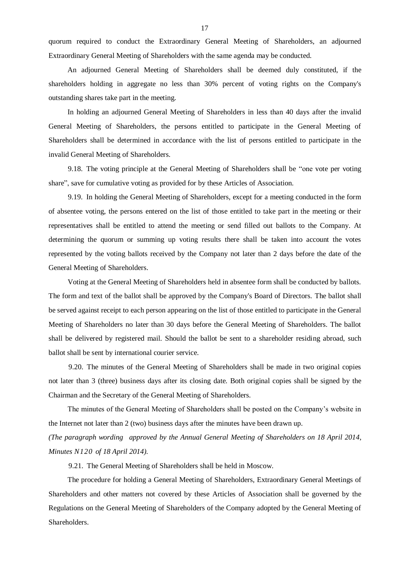quorum required to conduct the Extraordinary General Meeting of Shareholders, an adjourned Extraordinary General Meeting of Shareholders with the same agenda may be conducted.

An adjourned General Meeting of Shareholders shall be deemed duly constituted, if the shareholders holding in aggregate no less than 30% percent of voting rights on the Company's outstanding shares take part in the meeting.

In holding an adjourned General Meeting of Shareholders in less than 40 days after the invalid General Meeting of Shareholders, the persons entitled to participate in the General Meeting of Shareholders shall be determined in accordance with the list of persons entitled to participate in the invalid General Meeting of Shareholders.

9.18. The voting principle at the General Meeting of Shareholders shall be "one vote per voting share", save for cumulative voting as provided for by these Articles of Association.

9.19. In holding the General Meeting of Shareholders, except for a meeting conducted in the form of absentee voting, the persons entered on the list of those entitled to take part in the meeting or their representatives shall be entitled to attend the meeting or send filled out ballots to the Company. At determining the quorum or summing up voting results there shall be taken into account the votes represented by the voting ballots received by the Company not later than 2 days before the date of the General Meeting of Shareholders.

Voting at the General Meeting of Shareholders held in absentee form shall be conducted by ballots. The form and text of the ballot shall be approved by the Company's Board of Directors. The ballot shall be served against receipt to each person appearing on the list of those entitled to participate in the General Meeting of Shareholders no later than 30 days before the General Meeting of Shareholders. The ballot shall be delivered by registered mail. Should the ballot be sent to a shareholder residing abroad, such ballot shall be sent by international courier service.

9.20. The minutes of the General Meeting of Shareholders shall be made in two original copies not later than 3 (three) business days after its closing date. Both original copies shall be signed by the Chairman and the Secretary of the General Meeting of Shareholders.

The minutes of the General Meeting of Shareholders shall be posted on the Company's website in the Internet not later than 2 (two) business days after the minutes have been drawn up.

*(The paragraph wording approved by the Annual General Meeting of Shareholders on 18 April 2014, Minutes N120 of 18 April 2014).*

9.21. The General Meeting of Shareholders shall be held in Moscow.

The procedure for holding a General Meeting of Shareholders, Extraordinary General Meetings of Shareholders and other matters not covered by these Articles of Association shall be governed by the Regulations on the General Meeting of Shareholders of the Company adopted by the General Meeting of Shareholders.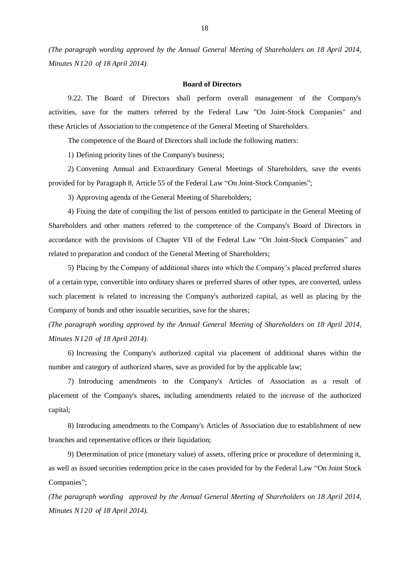*(The paragraph wording approved by the Annual General Meeting of Shareholders on 18 April 2014, Minutes N120 of 18 April 2014).*

#### **Board of Directors**

9.22. The Board of Directors shall perform overall management of the Company's activities, save for the matters referred by the Federal Law "On Joint-Stock Companies" and these Articles of Association to the competence of the General Meeting of Shareholders.

The competence of the Board of Directors shall include the following matters:

1) Defining priority lines of the Company's business;

2) Convening Annual and Extraordinary General Meetings of Shareholders, save the events provided for by Paragraph 8, Article 55 of the Federal Law "On Joint-Stock Companies";

3) Approving agenda of the General Meeting of Shareholders;

4) Fixing the date of compiling the list of persons entitled to participate in the General Meeting of Shareholders and other matters referred to the competence of the Company's Board of Directors in accordance with the provisions of Chapter VII of the Federal Law "On Joint-Stock Companies" and related to preparation and conduct of the General Meeting of Shareholders;

5) Placing by the Company of additional shares into which the Company's placed preferred shares of a certain type, convertible into ordinary shares or preferred shares of other types, are converted, unless such placement is related to increasing the Company's authorized capital, as well as placing by the Company of bonds and other issuable securities, save for the shares;

*(The paragraph wording approved by the Annual General Meeting of Shareholders on 18 April 2014, Minutes N120 of 18 April 2014).*

6) Increasing the Company's authorized capital via placement of additional shares within the number and category of authorized shares, save as provided for by the applicable law;

7) Introducing amendments to the Company's Articles of Association as a result of placement of the Company's shares, including amendments related to the increase of the authorized capital;

8) Introducing amendments to the Company's Articles of Association due to establishment of new branches and representative offices or their liquidation;

9) Determination of price (monetary value) of assets, offering price or procedure of determining it, as well as issued securities redemption price in the cases provided for by the Federal Law "On Joint Stock Companies";

*(The paragraph wording approved by the Annual General Meeting of Shareholders on 18 April 2014, Minutes N120 of 18 April 2014).*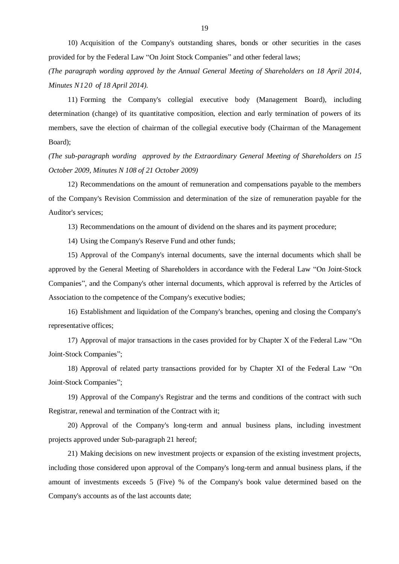10) Acquisition of the Company's outstanding shares, bonds or other securities in the cases provided for by the Federal Law "On Joint Stock Companies" and other federal laws;

*(The paragraph wording approved by the Annual General Meeting of Shareholders on 18 April 2014, Minutes N120 of 18 April 2014).*

11) Forming the Company's collegial executive body (Management Board), including determination (change) of its quantitative composition, election and early termination of powers of its members, save the election of chairman of the collegial executive body (Chairman of the Management Board);

*(The sub-paragraph wording approved by the Extraordinary General Meeting of Shareholders on 15 October 2009, Minutes N 108 of 21 October 2009)*

12) Recommendations on the amount of remuneration and compensations payable to the members of the Company's Revision Commission and determination of the size of remuneration payable for the Auditor's services;

13) Recommendations on the amount of dividend on the shares and its payment procedure;

14) Using the Company's Reserve Fund and other funds;

15) Approval of the Company's internal documents, save the internal documents which shall be approved by the General Meeting of Shareholders in accordance with the Federal Law "On Joint-Stock Companies", and the Company's other internal documents, which approval is referred by the Articles of Association to the competence of the Company's executive bodies;

16) Establishment and liquidation of the Company's branches, opening and closing the Company's representative offices;

17) Approval of major transactions in the cases provided for by Chapter Х of the Federal Law "On Joint-Stock Companies";

18) Approval of related party transactions provided for by Chapter XI of the Federal Law "On Joint-Stock Companies";

19) Approval of the Company's Registrar and the terms and conditions of the contract with such Registrar, renewal and termination of the Contract with it;

20) Approval of the Company's long-term and annual business plans, including investment projects approved under Sub-paragraph 21 hereof;

21) Making decisions on new investment projects or expansion of the existing investment projects, including those considered upon approval of the Company's long-term and annual business plans, if the amount of investments exceeds 5 (Five) % of the Company's book value determined based on the Company's accounts as of the last accounts date;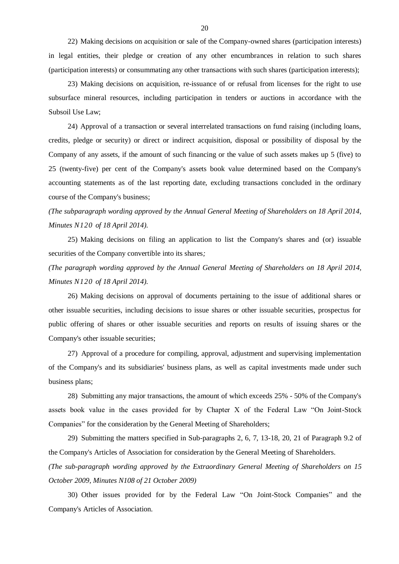22) Making decisions on acquisition or sale of the Company-owned shares (participation interests) in legal entities, their pledge or creation of any other encumbrances in relation to such shares (participation interests) or consummating any other transactions with such shares (participation interests);

23) Making decisions on acquisition, re-issuance of or refusal from licenses for the right to use subsurface mineral resources, including participation in tenders or auctions in accordance with the Subsoil Use Law;

24) Approval of a transaction or several interrelated transactions on fund raising (including loans, credits, pledge or security) or direct or indirect acquisition, disposal or possibility of disposal by the Company of any assets, if the amount of such financing or the value of such assets makes up 5 (five) to 25 (twenty-five) per cent of the Company's assets book value determined based on the Company's accounting statements as of the last reporting date, excluding transactions concluded in the ordinary course of the Company's business;

*(The subparagraph wording approved by the Annual General Meeting of Shareholders on 18 April 2014, Minutes N120 of 18 April 2014).*

25) Making decisions on filing an application to list the Company's shares and (or) issuable securities of the Company convertible into its shares*;*

*(The paragraph wording approved by the Annual General Meeting of Shareholders on 18 April 2014, Minutes N120 of 18 April 2014).*

26) Making decisions on approval of documents pertaining to the issue of additional shares or other issuable securities, including decisions to issue shares or other issuable securities, prospectus for public offering of shares or other issuable securities and reports on results of issuing shares or the Company's other issuable securities;

27) Approval of a procedure for compiling, approval, adjustment and supervising implementation of the Company's and its subsidiaries' business plans, as well as capital investments made under such business plans;

28) Submitting any major transactions, the amount of which exceeds 25% - 50% of the Company's assets book value in the cases provided for by Chapter X of the Federal Law "On Joint-Stock Companies" for the consideration by the General Meeting of Shareholders;

29) Submitting the matters specified in Sub-paragraphs 2, 6, 7, 13-18, 20, 21 of Paragraph 9.2 of the Company's Articles of Association for consideration by the General Meeting of Shareholders.

*(The sub-paragraph wording approved by the Extraordinary General Meeting of Shareholders on 15 October 2009, Minutes N108 of 21 October 2009)*

30) Other issues provided for by the Federal Law "On Joint-Stock Companies" and the Company's Articles of Association.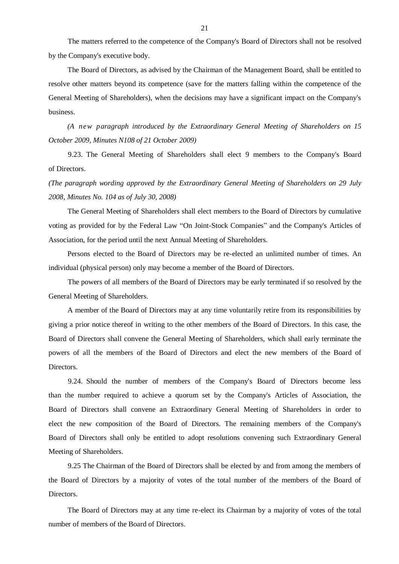The matters referred to the competence of the Company's Board of Directors shall not be resolved by the Company's executive body.

The Board of Directors, as advised by the Chairman of the Management Board, shall be entitled to resolve other matters beyond its competence (save for the matters falling within the competence of the General Meeting of Shareholders), when the decisions may have a significant impact on the Company's business.

*(A new paragraph introduced by the Extraordinary General Meeting of Shareholders on 15 October 2009, Minutes N108 of 21 October 2009)*

9.23. The General Meeting of Shareholders shall elect 9 members to the Company's Board of Directors.

*(The paragraph wording approved by the Extraordinary General Meeting of Shareholders on 29 July 2008, Minutes No. 104 as of July 30, 2008)*

The General Meeting of Shareholders shall elect members to the Board of Directors by cumulative voting as provided for by the Federal Law "On Joint-Stock Companies" and the Company's Articles of Association, for the period until the next Annual Meeting of Shareholders.

Persons elected to the Board of Directors may be re-elected an unlimited number of times. An individual (physical person) only may become a member of the Board of Directors.

The powers of all members of the Board of Directors may be early terminated if so resolved by the General Meeting of Shareholders.

A member of the Board of Directors may at any time voluntarily retire from its responsibilities by giving a prior notice thereof in writing to the other members of the Board of Directors. In this case, the Board of Directors shall convene the General Meeting of Shareholders, which shall early terminate the powers of all the members of the Board of Directors and elect the new members of the Board of Directors.

9.24. Should the number of members of the Company's Board of Directors become less than the number required to achieve a quorum set by the Company's Articles of Association, the Board of Directors shall convene an Extraordinary General Meeting of Shareholders in order to elect the new composition of the Board of Directors. The remaining members of the Company's Board of Directors shall only be entitled to adopt resolutions convening such Extraordinary General Meeting of Shareholders.

9.25 The Chairman of the Board of Directors shall be elected by and from among the members of the Board of Directors by a majority of votes of the total number of the members of the Board of Directors.

The Board of Directors may at any time re-elect its Chairman by a majority of votes of the total number of members of the Board of Directors.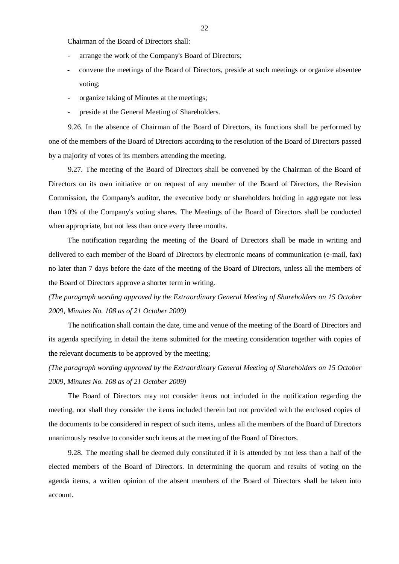Chairman of the Board of Directors shall:

- arrange the work of the Company's Board of Directors;
- convene the meetings of the Board of Directors, preside at such meetings or organize absentee voting;
- organize taking of Minutes at the meetings;
- preside at the General Meeting of Shareholders.

9.26. In the absence of Chairman of the Board of Directors, its functions shall be performed by one of the members of the Board of Directors according to the resolution of the Board of Directors passed by a majority of votes of its members attending the meeting.

9.27. The meeting of the Board of Directors shall be convened by the Chairman of the Board of Directors on its own initiative or on request of any member of the Board of Directors, the Revision Commission, the Company's auditor, the executive body or shareholders holding in aggregate not less than 10% of the Company's voting shares. The Meetings of the Board of Directors shall be conducted when appropriate, but not less than once every three months.

The notification regarding the meeting of the Board of Directors shall be made in writing and delivered to each member of the Board of Directors by electronic means of communication (e-mail, fax) no later than 7 days before the date of the meeting of the Board of Directors, unless all the members of the Board of Directors approve a shorter term in writing.

*(The paragraph wording approved by the Extraordinary General Meeting of Shareholders on 15 October 2009, Minutes No. 108 as of 21 October 2009)*

The notification shall contain the date, time and venue of the meeting of the Board of Directors and its agenda specifying in detail the items submitted for the meeting consideration together with copies of the relevant documents to be approved by the meeting;

*(The paragraph wording approved by the Extraordinary General Meeting of Shareholders on 15 October 2009, Minutes No. 108 as of 21 October 2009)*

The Board of Directors may not consider items not included in the notification regarding the meeting, nor shall they consider the items included therein but not provided with the enclosed copies of the documents to be considered in respect of such items, unless all the members of the Board of Directors unanimously resolve to consider such items at the meeting of the Board of Directors.

9.28. The meeting shall be deemed duly constituted if it is attended by not less than a half of the elected members of the Board of Directors. In determining the quorum and results of voting on the agenda items, a written opinion of the absent members of the Board of Directors shall be taken into account.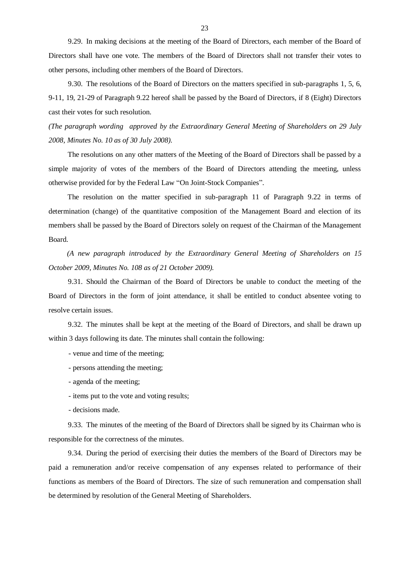9.29. In making decisions at the meeting of the Board of Directors, each member of the Board of Directors shall have one vote. The members of the Board of Directors shall not transfer their votes to other persons, including other members of the Board of Directors.

9.30. The resolutions of the Board of Directors on the matters specified in sub-paragraphs 1, 5, 6, 9-11, 19, 21-29 of Paragraph 9.22 hereof shall be passed by the Board of Directors, if 8 (Eight) Directors cast their votes for such resolution.

*(The paragraph wording approved by the Extraordinary General Meeting of Shareholders on 29 July 2008, Minutes No. 10 as of 30 July 2008).*

The resolutions on any other matters of the Meeting of the Board of Directors shall be passed by a simple majority of votes of the members of the Board of Directors attending the meeting, unless otherwise provided for by the Federal Law "On Joint-Stock Companies".

The resolution on the matter specified in sub-paragraph 11 of Paragraph 9.22 in terms of determination (change) of the quantitative composition of the Management Board and election of its members shall be passed by the Board of Directors solely on request of the Chairman of the Management Board.

*(A new paragraph introduced by the Extraordinary General Meeting of Shareholders on 15 October 2009, Minutes No. 108 as of 21 October 2009).*

9.31. Should the Chairman of the Board of Directors be unable to conduct the meeting of the Board of Directors in the form of joint attendance, it shall be entitled to conduct absentee voting to resolve certain issues.

9.32. The minutes shall be kept at the meeting of the Board of Directors, and shall be drawn up within 3 days following its date. The minutes shall contain the following:

- venue and time of the meeting;

- persons attending the meeting;
- agenda of the meeting;
- items put to the vote and voting results;
- decisions made.

9.33. The minutes of the meeting of the Board of Directors shall be signed by its Chairman who is responsible for the correctness of the minutes.

9.34. During the period of exercising their duties the members of the Board of Directors may be paid a remuneration and/or receive compensation of any expenses related to performance of their functions as members of the Board of Directors. The size of such remuneration and compensation shall be determined by resolution of the General Meeting of Shareholders.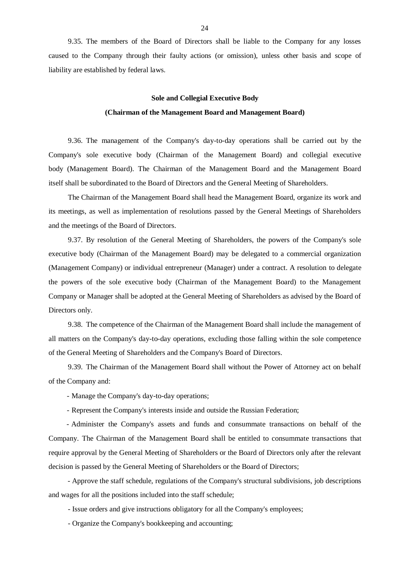9.35. The members of the Board of Directors shall be liable to the Company for any losses caused to the Company through their faulty actions (or omission), unless other basis and scope of liability are established by federal laws.

#### **Sole and Collegial Executive Body**

#### **(Chairman of the Management Board and Management Board)**

9.36. The management of the Company's day-to-day operations shall be carried out by the Company's sole executive body (Chairman of the Management Board) and collegial executive body (Management Board). The Chairman of the Management Board and the Management Board itself shall be subordinated to the Board of Directors and the General Meeting of Shareholders.

The Chairman of the Management Board shall head the Management Board, organize its work and its meetings, as well as implementation of resolutions passed by the General Meetings of Shareholders and the meetings of the Board of Directors.

9.37. By resolution of the General Meeting of Shareholders, the powers of the Company's sole executive body (Chairman of the Management Board) may be delegated to a commercial organization (Management Company) or individual entrepreneur (Manager) under a contract. A resolution to delegate the powers of the sole executive body (Chairman of the Management Board) to the Management Company or Manager shall be adopted at the General Meeting of Shareholders as advised by the Board of Directors only.

9.38. The competence of the Chairman of the Management Board shall include the management of all matters on the Company's day-to-day operations, excluding those falling within the sole competence of the General Meeting of Shareholders and the Company's Board of Directors.

9.39. The Chairman of the Management Board shall without the Power of Attorney act on behalf of the Company and:

- Manage the Company's day-to-day operations;

- Represent the Company's interests inside and outside the Russian Federation;

- Administer the Company's assets and funds and consummate transactions on behalf of the Company. The Chairman of the Management Board shall be entitled to consummate transactions that require approval by the General Meeting of Shareholders or the Board of Directors only after the relevant decision is passed by the General Meeting of Shareholders or the Board of Directors;

- Approve the staff schedule, regulations of the Company's structural subdivisions, job descriptions and wages for all the positions included into the staff schedule;

- Issue orders and give instructions obligatory for all the Company's employees;

- Organize the Company's bookkeeping and accounting;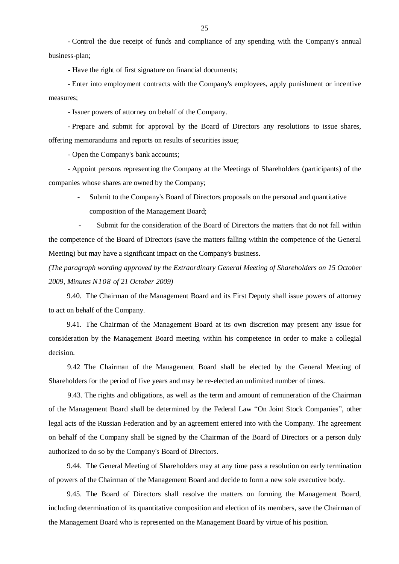- Control the due receipt of funds and compliance of any spending with the Company's annual business-plan;

- Have the right of first signature on financial documents;

- Enter into employment contracts with the Company's employees, apply punishment or incentive measures;

- Issuer powers of attorney on behalf of the Company.

- Prepare and submit for approval by the Board of Directors any resolutions to issue shares, offering memorandums and reports on results of securities issue;

- Open the Company's bank accounts;

- Appoint persons representing the Company at the Meetings of Shareholders (participants) of the companies whose shares are owned by the Company;

- Submit to the Company's Board of Directors proposals on the personal and quantitative composition of the Management Board;

Submit for the consideration of the Board of Directors the matters that do not fall within the competence of the Board of Directors (save the matters falling within the competence of the General Meeting) but may have a significant impact on the Company's business.

*(The paragraph wording approved by the Extraordinary General Meeting of Shareholders on 15 October 2009, Minutes N108 of 21 October 2009)*

9.40. The Chairman of the Management Board and its First Deputy shall issue powers of attorney to act on behalf of the Company.

9.41. The Chairman of the Management Board at its own discretion may present any issue for consideration by the Management Board meeting within his competence in order to make a collegial decision.

9.42 The Chairman of the Management Board shall be elected by the General Meeting of Shareholders for the period of five years and may be re-elected an unlimited number of times.

9.43. The rights and obligations, as well as the term and amount of remuneration of the Chairman of the Management Board shall be determined by the Federal Law "On Joint Stock Companies", other legal acts of the Russian Federation and by an agreement entered into with the Company. The agreement on behalf of the Company shall be signed by the Chairman of the Board of Directors or a person duly authorized to do so by the Company's Board of Directors.

9.44. The General Meeting of Shareholders may at any time pass a resolution on early termination of powers of the Chairman of the Management Board and decide to form a new sole executive body.

9.45. The Board of Directors shall resolve the matters on forming the Management Board, including determination of its quantitative composition and election of its members, save the Chairman of the Management Board who is represented on the Management Board by virtue of his position.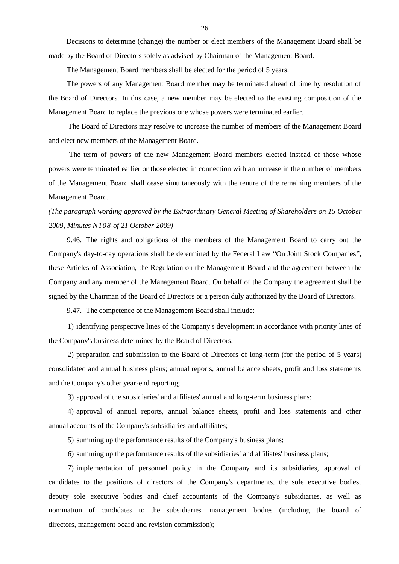Decisions to determine (change) the number or elect members of the Management Board shall be made by the Board of Directors solely as advised by Chairman of the Management Board.

The Management Board members shall be elected for the period of 5 years.

The powers of any Management Board member may be terminated ahead of time by resolution of the Board of Directors. In this case, a new member may be elected to the existing composition of the Management Board to replace the previous one whose powers were terminated earlier.

The Board of Directors may resolve to increase the number of members of the Management Board and elect new members of the Management Board.

The term of powers of the new Management Board members elected instead of those whose powers were terminated earlier or those elected in connection with an increase in the number of members of the Management Board shall cease simultaneously with the tenure of the remaining members of the Management Board.

## *(The paragraph wording approved by the Extraordinary General Meeting of Shareholders on 15 October 2009, Minutes N108 of 21 October 2009)*

9.46. The rights and obligations of the members of the Management Board to carry out the Company's day-to-day operations shall be determined by the Federal Law "On Joint Stock Companies", these Articles of Association, the Regulation on the Management Board and the agreement between the Company and any member of the Management Board. On behalf of the Company the agreement shall be signed by the Chairman of the Board of Directors or a person duly authorized by the Board of Directors.

9.47. The competence of the Management Board shall include:

1) identifying perspective lines of the Company's development in accordance with priority lines of the Company's business determined by the Board of Directors;

2) preparation and submission to the Board of Directors of long-term (for the period of 5 years) consolidated and annual business plans; annual reports, annual balance sheets, profit and loss statements and the Company's other year-end reporting;

3) approval of the subsidiaries' and affiliates' annual and long-term business plans;

4) approval of annual reports, annual balance sheets, profit and loss statements and other annual accounts of the Company's subsidiaries and affiliates;

5) summing up the performance results of the Company's business plans;

6) summing up the performance results of the subsidiaries' and affiliates' business plans;

7) implementation of personnel policy in the Company and its subsidiaries, approval of candidates to the positions of directors of the Company's departments, the sole executive bodies, deputy sole executive bodies and chief accountants of the Company's subsidiaries, as well as nomination of candidates to the subsidiaries' management bodies (including the board of directors, management board and revision commission);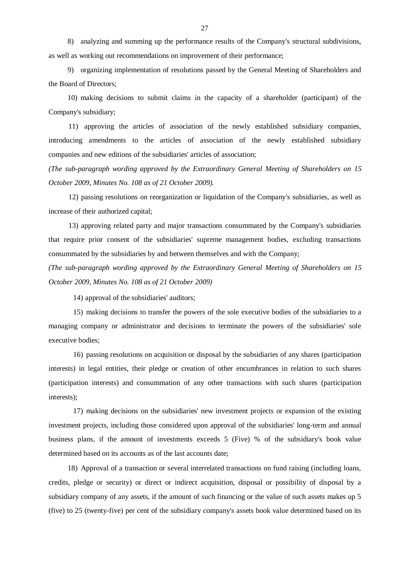8) analyzing and summing up the performance results of the Company's structural subdivisions, as well as working out recommendations on improvement of their performance;

9) organizing implementation of resolutions passed by the General Meeting of Shareholders and the Board of Directors;

10) making decisions to submit claims in the capacity of a shareholder (participant) of the Company's subsidiary;

11) approving the articles of association of the newly established subsidiary companies, introducing amendments to the articles of association of the newly established subsidiary companies and new editions of the subsidiaries' articles of association;

*(The sub-paragraph wording approved by the Extraordinary General Meeting of Shareholders on 15 October 2009, Minutes No. 108 as of 21 October 2009).*

12) passing resolutions on reorganization or liquidation of the Company's subsidiaries, as well as increase of their authorized capital;

13) approving related party and major transactions consummated by the Company's subsidiaries that require prior consent of the subsidiaries' supreme management bodies, excluding transactions consummated by the subsidiaries by and between themselves and with the Company;

*(The sub-paragraph wording approved by the Extraordinary General Meeting of Shareholders on 15 October 2009, Minutes No. 108 as of 21 October 2009)*

14) approval of the subsidiaries' auditors;

15) making decisions to transfer the powers of the sole executive bodies of the subsidiaries to a managing company or administrator and decisions to terminate the powers of the subsidiaries' sole executive bodies;

16) passing resolutions on acquisition or disposal by the subsidiaries of any shares (participation interests) in legal entities, their pledge or creation of other encumbrances in relation to such shares (participation interests) and consummation of any other transactions with such shares (participation interests);

17) making decisions on the subsidiaries' new investment projects or expansion of the existing investment projects, including those considered upon approval of the subsidiaries' long-term and annual business plans, if the amount of investments exceeds 5 (Five) % of the subsidiary's book value determined based on its accounts as of the last accounts date;

18) Approval of a transaction or several interrelated transactions on fund raising (including loans, credits, pledge or security) or direct or indirect acquisition, disposal or possibility of disposal by a subsidiary company of any assets, if the amount of such financing or the value of such assets makes up 5 (five) to 25 (twenty-five) per cent of the subsidiary company's assets book value determined based on its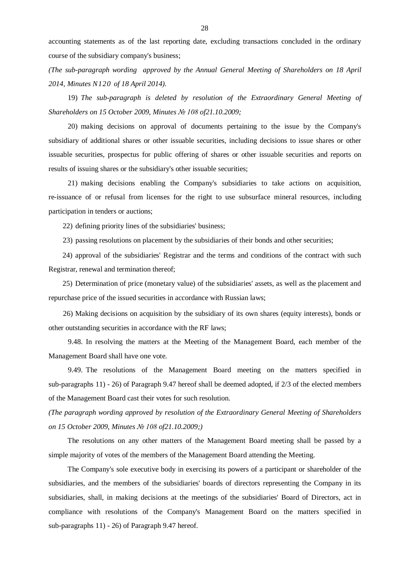accounting statements as of the last reporting date, excluding transactions concluded in the ordinary course of the subsidiary company's business;

*(The sub-paragraph wording approved by the Annual General Meeting of Shareholders on 18 April 2014, Minutes N120 of 18 April 2014).*

19) *The sub-paragraph is deleted by resolution of the Extraordinary General Meeting of Shareholders on 15 October 2009, Minutes № 108 of21.10.2009;*

20) making decisions on approval of documents pertaining to the issue by the Company's subsidiary of additional shares or other issuable securities, including decisions to issue shares or other issuable securities, prospectus for public offering of shares or other issuable securities and reports on results of issuing shares or the subsidiary's other issuable securities;

21) making decisions enabling the Company's subsidiaries to take actions on acquisition, re-issuance of or refusal from licenses for the right to use subsurface mineral resources, including participation in tenders or auctions;

22) defining priority lines of the subsidiaries' business;

23) passing resolutions on placement by the subsidiaries of their bonds and other securities;

24) approval of the subsidiaries' Registrar and the terms and conditions of the contract with such Registrar, renewal and termination thereof;

25) Determination of price (monetary value) of the subsidiaries' assets, as well as the placement and repurchase price of the issued securities in accordance with Russian laws;

26) Making decisions on acquisition by the subsidiary of its own shares (equity interests), bonds or other outstanding securities in accordance with the RF laws;

9.48. In resolving the matters at the Meeting of the Management Board, each member of the Management Board shall have one vote.

9.49. The resolutions of the Management Board meeting on the matters specified in sub-paragraphs 11) - 26) of Paragraph 9.47 hereof shall be deemed adopted, if 2/3 of the elected members of the Management Board cast their votes for such resolution.

*(The paragraph wording approved by resolution of the Extraordinary General Meeting of Shareholders on 15 October 2009, Minutes № 108 of21.10.2009;)*

The resolutions on any other matters of the Management Board meeting shall be passed by a simple majority of votes of the members of the Management Board attending the Meeting.

The Company's sole executive body in exercising its powers of a participant or shareholder of the subsidiaries, and the members of the subsidiaries' boards of directors representing the Company in its subsidiaries, shall, in making decisions at the meetings of the subsidiaries' Board of Directors, act in compliance with resolutions of the Company's Management Board on the matters specified in sub-paragraphs 11) - 26) of Paragraph 9.47 hereof.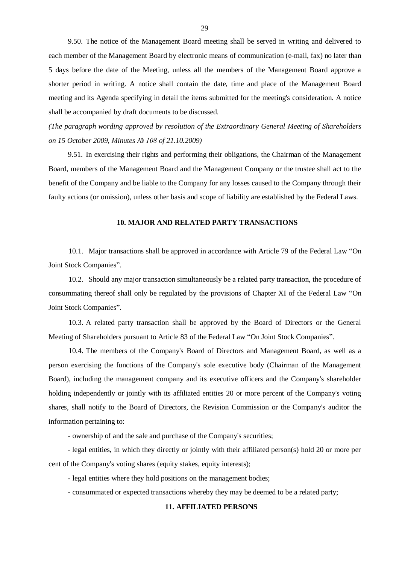9.50. The notice of the Management Board meeting shall be served in writing and delivered to each member of the Management Board by electronic means of communication (e-mail, fax) no later than 5 days before the date of the Meeting, unless all the members of the Management Board approve a shorter period in writing. A notice shall contain the date, time and place of the Management Board meeting and its Agenda specifying in detail the items submitted for the meeting's consideration. A notice shall be accompanied by draft documents to be discussed.

*(The paragraph wording approved by resolution of the Extraordinary General Meeting of Shareholders on 15 October 2009, Minutes № 108 of 21.10.2009)*

9.51. In exercising their rights and performing their obligations, the Chairman of the Management Board, members of the Management Board and the Management Company or the trustee shall act to the benefit of the Company and be liable to the Company for any losses caused to the Company through their faulty actions (or omission), unless other basis and scope of liability are established by the Federal Laws.

#### **10. MAJOR AND RELATED PARTY TRANSACTIONS**

10.1. Major transactions shall be approved in accordance with Article 79 of the Federal Law "On Joint Stock Companies".

10.2. Should any major transaction simultaneously be a related party transaction, the procedure of consummating thereof shall only be regulated by the provisions of Chapter XI of the Federal Law "On Joint Stock Companies".

10.3. A related party transaction shall be approved by the Board of Directors or the General Meeting of Shareholders pursuant to Article 83 of the Federal Law "On Joint Stock Companies".

10.4. The members of the Company's Board of Directors and Management Board, as well as a person exercising the functions of the Company's sole executive body (Chairman of the Management Board), including the management company and its executive officers and the Company's shareholder holding independently or jointly with its affiliated entities 20 or more percent of the Company's voting shares, shall notify to the Board of Directors, the Revision Commission or the Company's auditor the information pertaining to:

- ownership of and the sale and purchase of the Company's securities;

- legal entities, in which they directly or jointly with their affiliated person(s) hold 20 or more per cent of the Company's voting shares (equity stakes, equity interests);

- legal entities where they hold positions on the management bodies;

- consummated or expected transactions whereby they may be deemed to be a related party;

### **11. AFFILIATED PERSONS**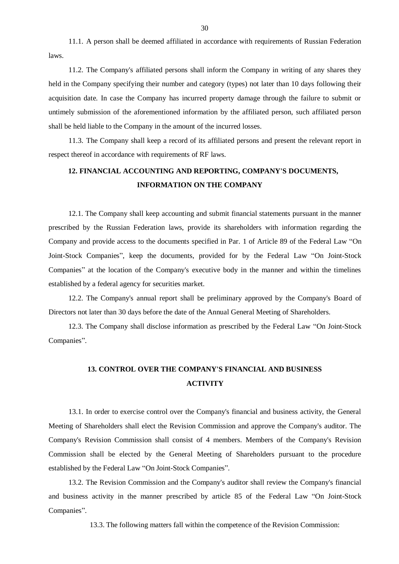11.1. A person shall be deemed affiliated in accordance with requirements of Russian Federation laws.

11.2. The Company's affiliated persons shall inform the Company in writing of any shares they held in the Company specifying their number and category (types) not later than 10 days following their acquisition date. In case the Company has incurred property damage through the failure to submit or untimely submission of the aforementioned information by the affiliated person, such affiliated person shall be held liable to the Company in the amount of the incurred losses.

11.3. The Company shall keep a record of its affiliated persons and present the relevant report in respect thereof in accordance with requirements of RF laws.

## **12. FINANCIAL ACCOUNTING AND REPORTING, COMPANY'S DOCUMENTS, INFORMATION ON THE COMPANY**

12.1. The Company shall keep accounting and submit financial statements pursuant in the manner prescribed by the Russian Federation laws, provide its shareholders with information regarding the Company and provide access to the documents specified in Par. 1 of Article 89 of the Federal Law "On Joint-Stock Companies", keep the documents, provided for by the Federal Law "On Joint-Stock Companies" at the location of the Company's executive body in the manner and within the timelines established by a federal agency for securities market.

12.2. The Company's annual report shall be preliminary approved by the Company's Board of Directors not later than 30 days before the date of the Annual General Meeting of Shareholders.

12.3. The Company shall disclose information as prescribed by the Federal Law "On Joint-Stock Companies".

# **13. CONTROL OVER THE COMPANY'S FINANCIAL AND BUSINESS ACTIVITY**

13.1. In order to exercise control over the Company's financial and business activity, the General Meeting of Shareholders shall elect the Revision Commission and approve the Company's auditor. The Company's Revision Commission shall consist of 4 members. Members of the Company's Revision Commission shall be elected by the General Meeting of Shareholders pursuant to the procedure established by the Federal Law "On Joint-Stock Companies".

13.2. The Revision Commission and the Company's auditor shall review the Company's financial and business activity in the manner prescribed by article 85 of the Federal Law "On Joint-Stock Companies".

13.3. The following matters fall within the competence of the Revision Commission: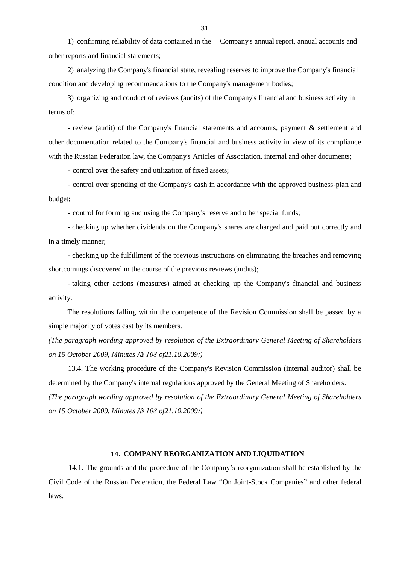1) confirming reliability of data contained in the Company's annual report, annual accounts and other reports and financial statements;

2) analyzing the Company's financial state, revealing reserves to improve the Company's financial condition and developing recommendations to the Company's management bodies;

3) organizing and conduct of reviews (audits) of the Company's financial and business activity in terms of:

- review (audit) of the Company's financial statements and accounts, payment & settlement and other documentation related to the Company's financial and business activity in view of its compliance with the Russian Federation law, the Company's Articles of Association, internal and other documents;

- control over the safety and utilization of fixed assets;

- control over spending of the Company's cash in accordance with the approved business-plan and budget;

- control for forming and using the Company's reserve and other special funds;

- checking up whether dividends on the Company's shares are charged and paid out correctly and in a timely manner;

- checking up the fulfillment of the previous instructions on eliminating the breaches and removing shortcomings discovered in the course of the previous reviews (audits);

- taking other actions (measures) aimed at checking up the Company's financial and business activity.

The resolutions falling within the competence of the Revision Commission shall be passed by a simple majority of votes cast by its members.

*(The paragraph wording approved by resolution of the Extraordinary General Meeting of Shareholders on 15 October 2009, Minutes № 108 of21.10.2009;)*

13.4. The working procedure of the Company's Revision Commission (internal auditor) shall be determined by the Company's internal regulations approved by the General Meeting of Shareholders. *(The paragraph wording approved by resolution of the Extraordinary General Meeting of Shareholders on 15 October 2009, Minutes № 108 of21.10.2009;)*

#### **14. COMPANY REORGANIZATION AND LIQUIDATION**

14.1. The grounds and the procedure of the Company's reorganization shall be established by the Civil Code of the Russian Federation, the Federal Law "On Joint-Stock Companies" and other federal laws.